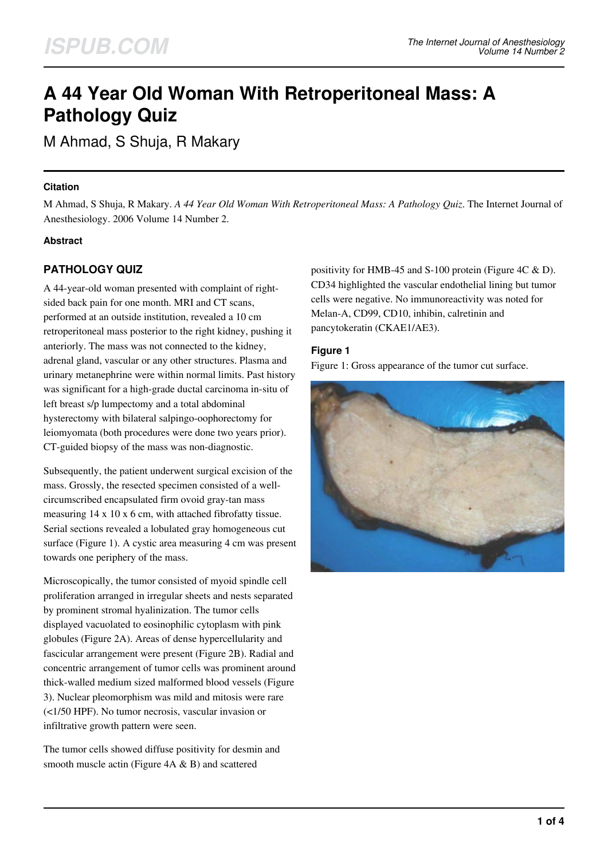# **A 44 Year Old Woman With Retroperitoneal Mass: A Pathology Quiz**

M Ahmad, S Shuja, R Makary

#### **Citation**

M Ahmad, S Shuja, R Makary. *A 44 Year Old Woman With Retroperitoneal Mass: A Pathology Quiz*. The Internet Journal of Anesthesiology. 2006 Volume 14 Number 2.

#### **Abstract**

# **PATHOLOGY QUIZ**

A 44-year-old woman presented with complaint of rightsided back pain for one month. MRI and CT scans, performed at an outside institution, revealed a 10 cm retroperitoneal mass posterior to the right kidney, pushing it anteriorly. The mass was not connected to the kidney, adrenal gland, vascular or any other structures. Plasma and urinary metanephrine were within normal limits. Past history was significant for a high-grade ductal carcinoma in-situ of left breast s/p lumpectomy and a total abdominal hysterectomy with bilateral salpingo-oophorectomy for leiomyomata (both procedures were done two years prior). CT-guided biopsy of the mass was non-diagnostic.

Subsequently, the patient underwent surgical excision of the mass. Grossly, the resected specimen consisted of a wellcircumscribed encapsulated firm ovoid gray-tan mass measuring 14 x 10 x 6 cm, with attached fibrofatty tissue. Serial sections revealed a lobulated gray homogeneous cut surface (Figure 1). A cystic area measuring 4 cm was present towards one periphery of the mass.

Microscopically, the tumor consisted of myoid spindle cell proliferation arranged in irregular sheets and nests separated by prominent stromal hyalinization. The tumor cells displayed vacuolated to eosinophilic cytoplasm with pink globules (Figure 2A). Areas of dense hypercellularity and fascicular arrangement were present (Figure 2B). Radial and concentric arrangement of tumor cells was prominent around thick-walled medium sized malformed blood vessels (Figure 3). Nuclear pleomorphism was mild and mitosis were rare (<1/50 HPF). No tumor necrosis, vascular invasion or infiltrative growth pattern were seen.

The tumor cells showed diffuse positivity for desmin and smooth muscle actin (Figure 4A & B) and scattered

positivity for HMB-45 and S-100 protein (Figure 4C & D). CD34 highlighted the vascular endothelial lining but tumor cells were negative. No immunoreactivity was noted for Melan-A, CD99, CD10, inhibin, calretinin and pancytokeratin (CKAE1/AE3).

#### **Figure 1**

Figure 1: Gross appearance of the tumor cut surface.

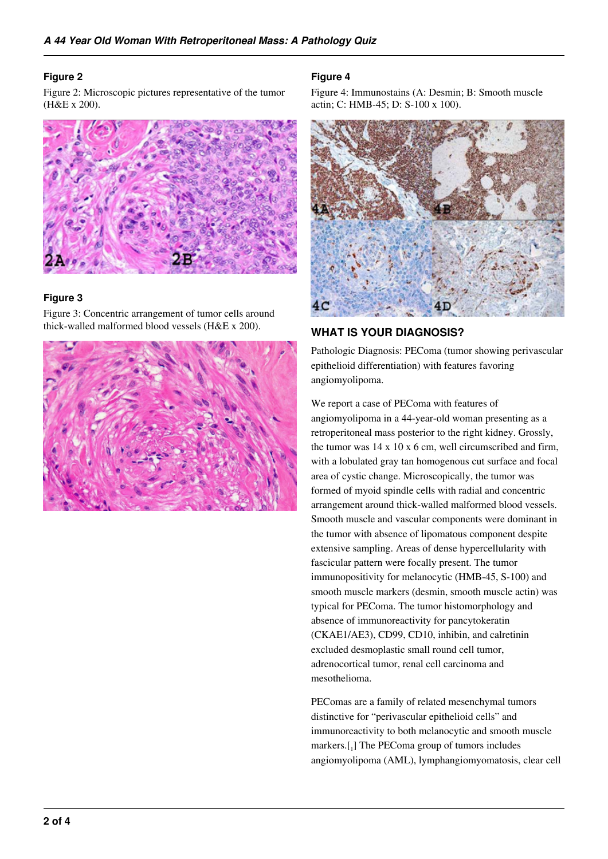#### **Figure 2**

Figure 2: Microscopic pictures representative of the tumor (H&E x 200).



#### **Figure 3**

Figure 3: Concentric arrangement of tumor cells around thick-walled malformed blood vessels (H&E x 200).



#### **Figure 4**

Figure 4: Immunostains (A: Desmin; B: Smooth muscle actin; C: HMB-45; D: S-100 x 100).



## **WHAT IS YOUR DIAGNOSIS?**

Pathologic Diagnosis: PEComa (tumor showing perivascular epithelioid differentiation) with features favoring angiomyolipoma.

We report a case of PEComa with features of angiomyolipoma in a 44-year-old woman presenting as a retroperitoneal mass posterior to the right kidney. Grossly, the tumor was 14 x 10 x 6 cm, well circumscribed and firm, with a lobulated gray tan homogenous cut surface and focal area of cystic change. Microscopically, the tumor was formed of myoid spindle cells with radial and concentric arrangement around thick-walled malformed blood vessels. Smooth muscle and vascular components were dominant in the tumor with absence of lipomatous component despite extensive sampling. Areas of dense hypercellularity with fascicular pattern were focally present. The tumor immunopositivity for melanocytic (HMB-45, S-100) and smooth muscle markers (desmin, smooth muscle actin) was typical for PEComa. The tumor histomorphology and absence of immunoreactivity for pancytokeratin (CKAE1/AE3), CD99, CD10, inhibin, and calretinin excluded desmoplastic small round cell tumor, adrenocortical tumor, renal cell carcinoma and mesothelioma.

PEComas are a family of related mesenchymal tumors distinctive for "perivascular epithelioid cells" and immunoreactivity to both melanocytic and smooth muscle markers.[<sup>1</sup> ] The PEComa group of tumors includes angiomyolipoma (AML), lymphangiomyomatosis, clear cell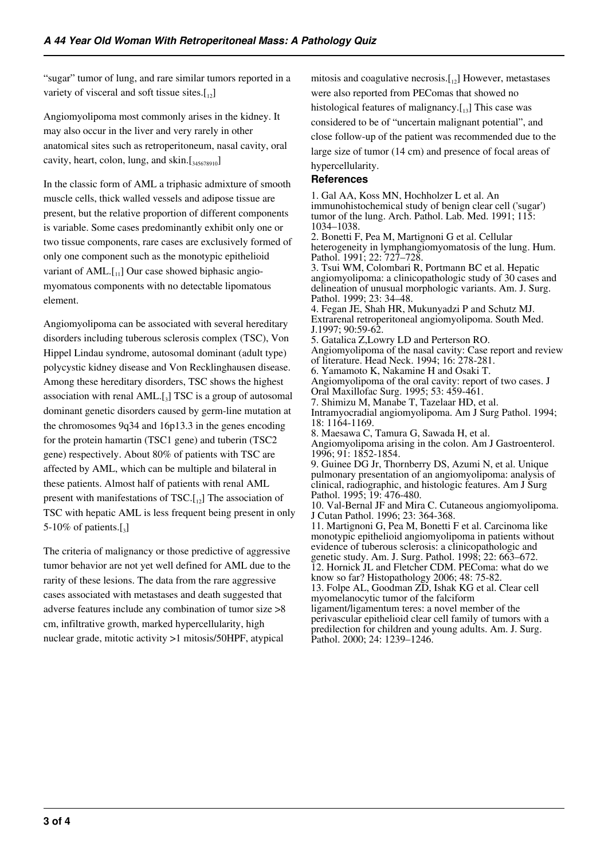"sugar" tumor of lung, and rare similar tumors reported in a variety of visceral and soft tissue sites. $\begin{bmatrix} 1 \\ 12 \end{bmatrix}$ 

Angiomyolipoma most commonly arises in the kidney. It may also occur in the liver and very rarely in other anatomical sites such as retroperitoneum, nasal cavity, oral cavity, heart, colon, lung, and skin. $[\frac{345678910}{245678910}]$ 

In the classic form of AML a triphasic admixture of smooth muscle cells, thick walled vessels and adipose tissue are present, but the relative proportion of different components is variable. Some cases predominantly exhibit only one or two tissue components, rare cases are exclusively formed of only one component such as the monotypic epithelioid variant of AML. $[I_{11}]$  Our case showed biphasic angiomyomatous components with no detectable lipomatous element.

Angiomyolipoma can be associated with several hereditary disorders including tuberous sclerosis complex (TSC), Von Hippel Lindau syndrome, autosomal dominant (adult type) polycystic kidney disease and Von Recklinghausen disease. Among these hereditary disorders, TSC shows the highest association with renal AML.[3] TSC is a group of autosomal dominant genetic disorders caused by germ-line mutation at the chromosomes 9q34 and 16p13.3 in the genes encoding for the protein hamartin (TSC1 gene) and tuberin (TSC2 gene) respectively. About 80% of patients with TSC are affected by AML, which can be multiple and bilateral in these patients. Almost half of patients with renal AML present with manifestations of  $TSC$ .[12] The association of TSC with hepatic AML is less frequent being present in only 5-10% of patients. $\left[\begin{smallmatrix} 3 \end{smallmatrix}\right]$ 

The criteria of malignancy or those predictive of aggressive tumor behavior are not yet well defined for AML due to the rarity of these lesions. The data from the rare aggressive cases associated with metastases and death suggested that adverse features include any combination of tumor size >8 cm, infiltrative growth, marked hypercellularity, high nuclear grade, mitotic activity >1 mitosis/50HPF, atypical

mitosis and coagulative necrosis. $[12]$  However, metastases were also reported from PEComas that showed no histological features of malignancy. $[13]$  This case was considered to be of "uncertain malignant potential", and close follow-up of the patient was recommended due to the

large size of tumor (14 cm) and presence of focal areas of hypercellularity.

#### **References**

1. Gal AA, Koss MN, Hochholzer L et al. An immunohistochemical study of benign clear cell ('sugar') tumor of the lung. Arch. Pathol. Lab. Med. 1991; 115: 1034–1038.

2. Bonetti F, Pea M, Martignoni G et al. Cellular heterogeneity in lymphangiomyomatosis of the lung. Hum. Pathol. 1991; 22: 727-728

3. Tsui WM, Colombari R, Portmann BC et al. Hepatic angiomyolipoma: a clinicopathologic study of 30 cases and delineation of unusual morphologic variants. Am. J. Surg. Pathol. 1999; 23: 34–48.

4. Fegan JE, Shah HR, Mukunyadzi P and Schutz MJ. Extrarenal retroperitoneal angiomyolipoma. South Med. J.1997; 90:59-62.

5. Gatalica Z,Lowry LD and Perterson RO.

Angiomyolipoma of the nasal cavity: Case report and review of literature. Head Neck. 1994; 16: 278-281.

6. Yamamoto K, Nakamine H and Osaki T.

Angiomyolipoma of the oral cavity: report of two cases. J Oral Maxillofac Surg. 1995; 53: 459-461.

7. Shimizu M, Manabe T, Tazelaar HD, et al.

Intramyocradial angiomyolipoma. Am J Surg Pathol. 1994; 18: 1164-1169.

8. Maesawa C, Tamura G, Sawada H, et al.

Angiomyolipoma arising in the colon. Am J Gastroenterol. 1996; 91: 1852-1854.

9. Guinee DG Jr, Thornberry DS, Azumi N, et al. Unique pulmonary presentation of an angiomyolipoma: analysis of clinical, radiographic, and histologic features. Am J Surg Pathol. 1995; 19: 476-480.

10. Val-Bernal JF and Mira C. Cutaneous angiomyolipoma. J Cutan Pathol. 1996; 23: 364-368.

11. Martignoni G, Pea M, Bonetti F et al. Carcinoma like monotypic epithelioid angiomyolipoma in patients without evidence of tuberous sclerosis: a clinicopathologic and genetic study. Am. J. Surg. Pathol. 1998; 22: 663–672. 12. Hornick JL and Fletcher CDM. PEComa: what do we know so far? Histopathology 2006; 48: 75-82. 13. Folpe AL, Goodman ZD, Ishak KG et al. Clear cell myomelanocytic tumor of the falciform ligament/ligamentum teres: a novel member of the perivascular epithelioid clear cell family of tumors with a predilection for children and young adults. Am. J. Surg. Pathol. 2000; 24: 1239–1246.